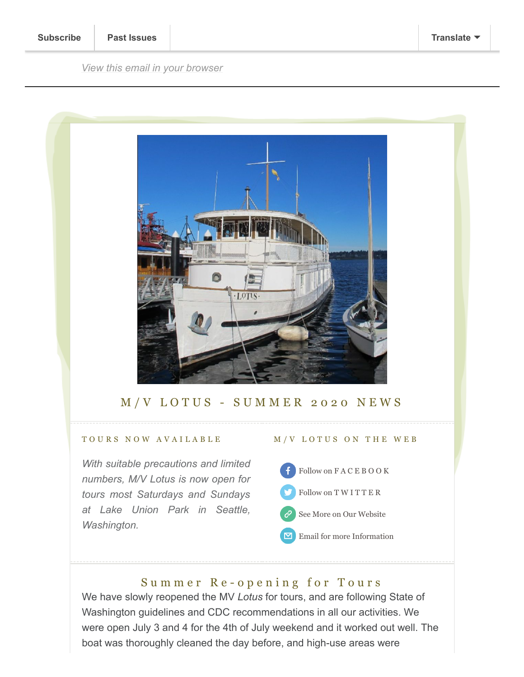*[View this email in your browser](https://mailchi.mp/36ae11034c36/springtime-aboard-the-mv-lotus-4127809?e=e3850cc91e)*



## M/V LOTUS - SUMMER 2020 NEWS

## T O U R S N O W A V A I L A B L E

*With suitable precautions and limited numbers, M/V Lotus is now open for tours most Saturdays and Sundays at Lake Union Park in Seattle, Washington.*

## M / V L O T U S O N T H E W E B

- [Follow on F A C E B O O K](https://www.facebook.com/mvlotusfoundation/) [Follow on T W I T T E R](https://twitter.com/mvlotus?lang=en)
- [See More on Our Website](https://www.mvlotus.org/)
- $\triangleright$ [Email for more Information](mailto:info@mvlotus.org)

# Summer Re-opening for Tours

We have slowly reopened the MV *Lotus* for tours, and are following State of Washington guidelines and CDC recommendations in all our activities. We were open July 3 and 4 for the 4th of July weekend and it worked out well. The boat was thoroughly cleaned the day before, and high-use areas were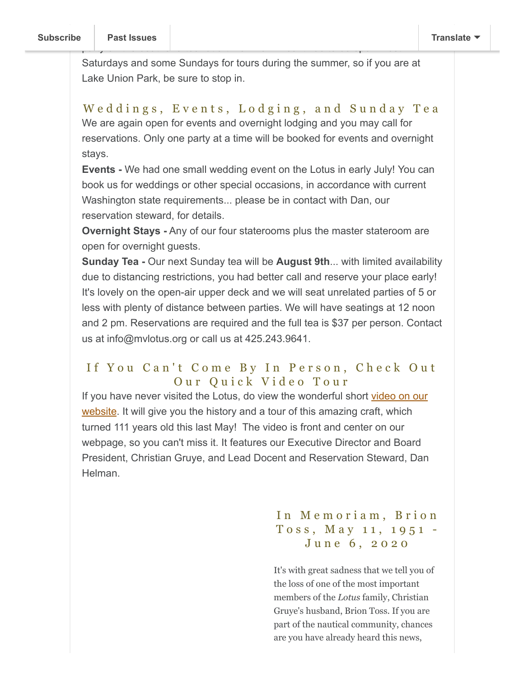Saturdays and some Sundays for tours during the summer, so if you are at Lake Union Park, be sure to stop in.

party on the boat for a tour at a time. We will continue to be open most

Weddings, Events, Lodging, and Sunday Tea We are again open for events and overnight lodging and you may call for reservations. Only one party at a time will be booked for events and overnight stays.

**Events -** We had one small wedding event on the Lotus in early July! You can book us for weddings or other special occasions, in accordance with current Washington state requirements... please be in contact with Dan, our reservation steward, for details.

**Overnight Stays -** Any of our four staterooms plus the master stateroom are open for overnight guests.

**Sunday Tea -** Our next Sunday tea will be **August 9th**... with limited availability due to distancing restrictions, you had better call and reserve your place early! It's lovely on the open-air upper deck and we will seat unrelated parties of 5 or less with plenty of distance between parties. We will have seatings at 12 noon and 2 pm. Reservations are required and the full tea is \$37 per person. Contact us at info@mvlotus.org or call us at 425.243.9641.

## If You Can't Come By In Person, Check Out Our Quick Video Tour

[If you have never visited the Lotus, do view the wonderful short video on our](http://mvlotus.org/) website. It will give you the history and a tour of this amazing craft, which turned 111 years old this last May! The video is front and center on our webpage, so you can't miss it. It features our Executive Director and Board President, Christian Gruye, and Lead Docent and Reservation Steward, Dan Helman.

# In Memoriam, Brion Toss, May 11, 1951 – June 6, 2020

It's with great sadness that we tell you of the loss of one of the most important members of the *Lotus* family, Christian Gruye's husband, Brion Toss. If you are part of the nautical community, chances are you have already heard this news,